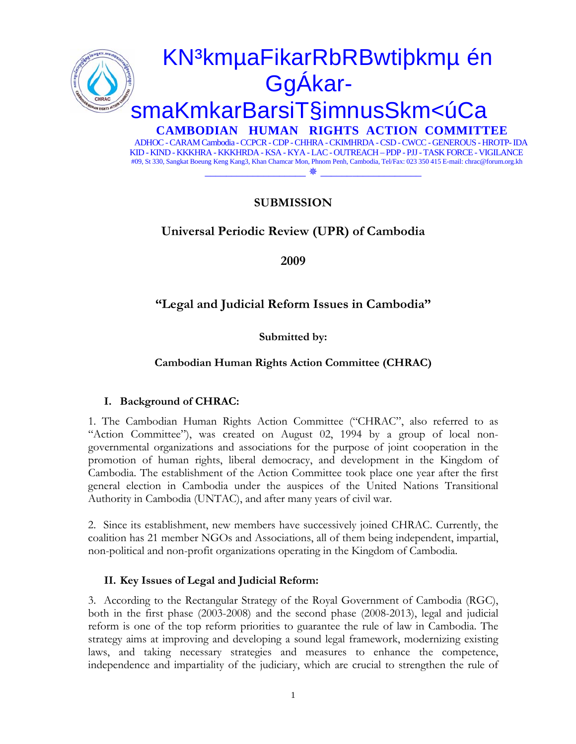

# **SUBMISSION**

# **Universal Periodic Review (UPR) of Cambodia**

**2009** 

# **"Legal and Judicial Reform Issues in Cambodia"**

**Submitted by:** 

## **Cambodian Human Rights Action Committee (CHRAC)**

#### **I. Background of CHRAC:**

1. The Cambodian Human Rights Action Committee ("CHRAC", also referred to as "Action Committee"), was created on August 02, 1994 by a group of local nongovernmental organizations and associations for the purpose of joint cooperation in the promotion of human rights, liberal democracy, and development in the Kingdom of Cambodia. The establishment of the Action Committee took place one year after the first general election in Cambodia under the auspices of the United Nations Transitional Authority in Cambodia (UNTAC), and after many years of civil war.

2. Since its establishment, new members have successively joined CHRAC. Currently, the coalition has 21 member NGOs and Associations, all of them being independent, impartial, non-political and non-profit organizations operating in the Kingdom of Cambodia.

#### **II. Key Issues of Legal and Judicial Reform:**

3. According to the Rectangular Strategy of the Royal Government of Cambodia (RGC), both in the first phase (2003-2008) and the second phase (2008-2013), legal and judicial reform is one of the top reform priorities to guarantee the rule of law in Cambodia. The strategy aims at improving and developing a sound legal framework, modernizing existing laws, and taking necessary strategies and measures to enhance the competence, independence and impartiality of the judiciary, which are crucial to strengthen the rule of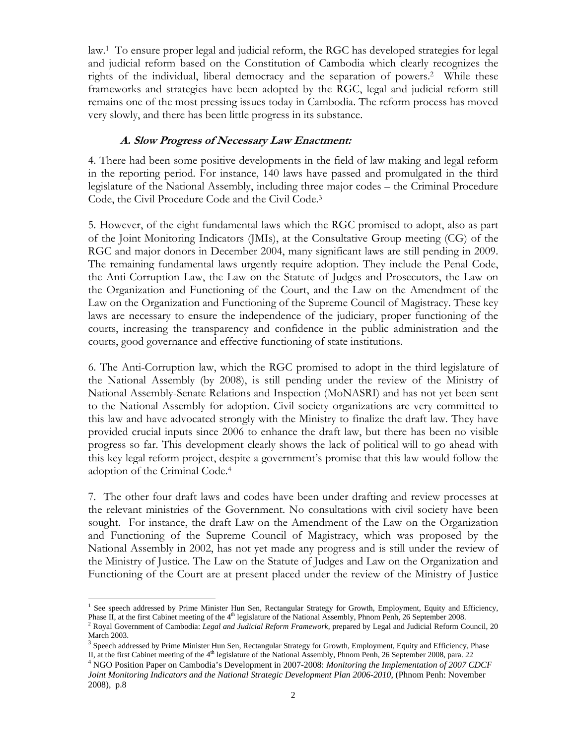law.1 To ensure proper legal and judicial reform, the RGC has developed strategies for legal and judicial reform based on the Constitution of Cambodia which clearly recognizes the rights of the individual, liberal democracy and the separation of powers.2 While these frameworks and strategies have been adopted by the RGC, legal and judicial reform still remains one of the most pressing issues today in Cambodia. The reform process has moved very slowly, and there has been little progress in its substance.

### **A. Slow Progress of Necessary Law Enactment:**

4. There had been some positive developments in the field of law making and legal reform in the reporting period. For instance, 140 laws have passed and promulgated in the third legislature of the National Assembly, including three major codes – the Criminal Procedure Code, the Civil Procedure Code and the Civil Code.3

5. However, of the eight fundamental laws which the RGC promised to adopt, also as part of the Joint Monitoring Indicators (JMIs), at the Consultative Group meeting (CG) of the RGC and major donors in December 2004, many significant laws are still pending in 2009. The remaining fundamental laws urgently require adoption. They include the Penal Code, the Anti-Corruption Law, the Law on the Statute of Judges and Prosecutors, the Law on the Organization and Functioning of the Court, and the Law on the Amendment of the Law on the Organization and Functioning of the Supreme Council of Magistracy. These key laws are necessary to ensure the independence of the judiciary, proper functioning of the courts, increasing the transparency and confidence in the public administration and the courts, good governance and effective functioning of state institutions.

6. The Anti-Corruption law, which the RGC promised to adopt in the third legislature of the National Assembly (by 2008), is still pending under the review of the Ministry of National Assembly-Senate Relations and Inspection (MoNASRI) and has not yet been sent to the National Assembly for adoption. Civil society organizations are very committed to this law and have advocated strongly with the Ministry to finalize the draft law. They have provided crucial inputs since 2006 to enhance the draft law, but there has been no visible progress so far. This development clearly shows the lack of political will to go ahead with this key legal reform project, despite a government's promise that this law would follow the adoption of the Criminal Code.4

7. The other four draft laws and codes have been under drafting and review processes at the relevant ministries of the Government. No consultations with civil society have been sought. For instance, the draft Law on the Amendment of the Law on the Organization and Functioning of the Supreme Council of Magistracy, which was proposed by the National Assembly in 2002, has not yet made any progress and is still under the review of the Ministry of Justice. The Law on the Statute of Judges and Law on the Organization and Functioning of the Court are at present placed under the review of the Ministry of Justice

<sup>-</sup><sup>1</sup> See speech addressed by Prime Minister Hun Sen, Rectangular Strategy for Growth, Employment, Equity and Efficiency, Phase II, at the first Cabinet meeting of the  $4<sup>th</sup>$  legislature of the National Assembly, Phnom Penh, 26 September 2008.

<sup>&</sup>lt;sup>2</sup> Royal Government of Cambodia: *Legal and Judicial Reform Framework*, prepared by Legal and Judicial Reform Council, 20 March 2003.

<sup>&</sup>lt;sup>3</sup> Speech addressed by Prime Minister Hun Sen, Rectangular Strategy for Growth, Employment, Equity and Efficiency, Phase II, at the first Cabinet meeting of the  $4<sup>th</sup>$  legislature of the National Assembly, Phnom Penh, 26 September 2008, para. 22

NGO Position Paper on Cambodia's Development in 2007-2008: *Monitoring the Implementation of 2007 CDCF Joint Monitoring Indicators and the National Strategic Development Plan 2006-2010*, (Phnom Penh: November 2008), p.8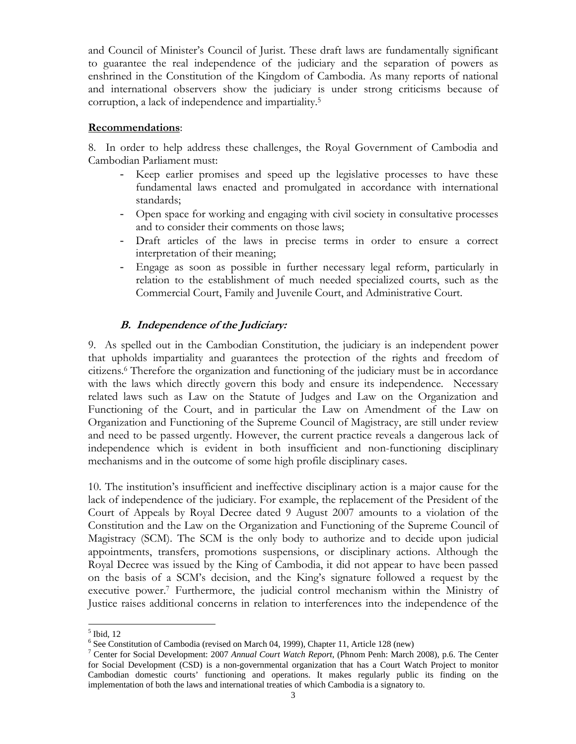and Council of Minister's Council of Jurist. These draft laws are fundamentally significant to guarantee the real independence of the judiciary and the separation of powers as enshrined in the Constitution of the Kingdom of Cambodia. As many reports of national and international observers show the judiciary is under strong criticisms because of corruption, a lack of independence and impartiality.5

## **Recommendations**:

8. In order to help address these challenges, the Royal Government of Cambodia and Cambodian Parliament must:

- Keep earlier promises and speed up the legislative processes to have these fundamental laws enacted and promulgated in accordance with international standards;
- Open space for working and engaging with civil society in consultative processes and to consider their comments on those laws;
- Draft articles of the laws in precise terms in order to ensure a correct interpretation of their meaning;
- Engage as soon as possible in further necessary legal reform, particularly in relation to the establishment of much needed specialized courts, such as the Commercial Court, Family and Juvenile Court, and Administrative Court.

## **B. Independence of the Judiciary:**

9. As spelled out in the Cambodian Constitution, the judiciary is an independent power that upholds impartiality and guarantees the protection of the rights and freedom of citizens.6 Therefore the organization and functioning of the judiciary must be in accordance with the laws which directly govern this body and ensure its independence. Necessary related laws such as Law on the Statute of Judges and Law on the Organization and Functioning of the Court, and in particular the Law on Amendment of the Law on Organization and Functioning of the Supreme Council of Magistracy, are still under review and need to be passed urgently. However, the current practice reveals a dangerous lack of independence which is evident in both insufficient and non-functioning disciplinary mechanisms and in the outcome of some high profile disciplinary cases.

10. The institution's insufficient and ineffective disciplinary action is a major cause for the lack of independence of the judiciary. For example, the replacement of the President of the Court of Appeals by Royal Decree dated 9 August 2007 amounts to a violation of the Constitution and the Law on the Organization and Functioning of the Supreme Council of Magistracy (SCM). The SCM is the only body to authorize and to decide upon judicial appointments, transfers, promotions suspensions, or disciplinary actions. Although the Royal Decree was issued by the King of Cambodia, it did not appear to have been passed on the basis of a SCM's decision, and the King's signature followed a request by the executive power.7 Furthermore, the judicial control mechanism within the Ministry of Justice raises additional concerns in relation to interferences into the independence of the

<sup>-</sup> $<sup>5</sup>$  Ibid, 12</sup>

<sup>&</sup>lt;sup>6</sup> See Constitution of Cambodia (revised on March 04, 1999), Chapter 11, Article 128 (new)

<sup>7</sup> Center for Social Development: 2007 *Annual Court Watch Report*, (Phnom Penh: March 2008), p.6. The Center for Social Development (CSD) is a non-governmental organization that has a Court Watch Project to monitor Cambodian domestic courts' functioning and operations. It makes regularly public its finding on the implementation of both the laws and international treaties of which Cambodia is a signatory to.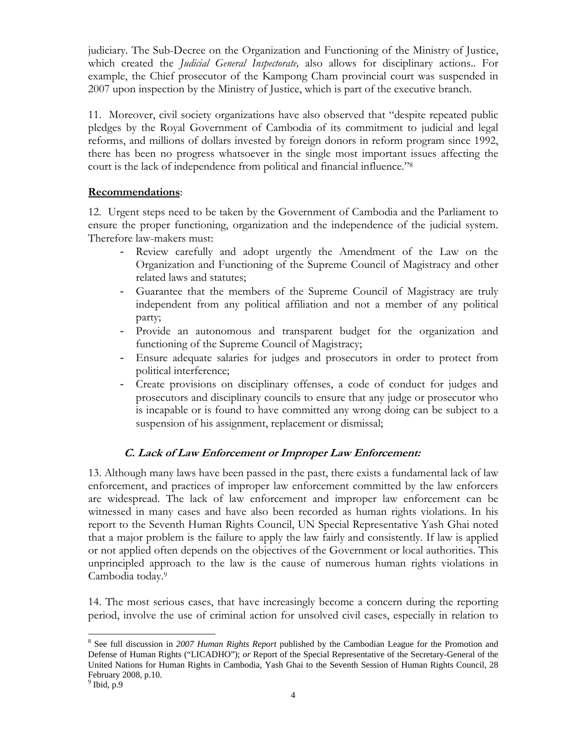judiciary. The Sub-Decree on the Organization and Functioning of the Ministry of Justice, which created the *Judicial General Inspectorate,* also allows for disciplinary actions.. For example, the Chief prosecutor of the Kampong Cham provincial court was suspended in 2007 upon inspection by the Ministry of Justice, which is part of the executive branch.

11. Moreover, civil society organizations have also observed that "despite repeated public pledges by the Royal Government of Cambodia of its commitment to judicial and legal reforms, and millions of dollars invested by foreign donors in reform program since 1992, there has been no progress whatsoever in the single most important issues affecting the court is the lack of independence from political and financial influence."8

## **Recommendations**:

12. Urgent steps need to be taken by the Government of Cambodia and the Parliament to ensure the proper functioning, organization and the independence of the judicial system. Therefore law-makers must:

- Review carefully and adopt urgently the Amendment of the Law on the Organization and Functioning of the Supreme Council of Magistracy and other related laws and statutes;
- Guarantee that the members of the Supreme Council of Magistracy are truly independent from any political affiliation and not a member of any political party;
- Provide an autonomous and transparent budget for the organization and functioning of the Supreme Council of Magistracy;
- Ensure adequate salaries for judges and prosecutors in order to protect from political interference;
- Create provisions on disciplinary offenses, a code of conduct for judges and prosecutors and disciplinary councils to ensure that any judge or prosecutor who is incapable or is found to have committed any wrong doing can be subject to a suspension of his assignment, replacement or dismissal;

# **C. Lack of Law Enforcement or Improper Law Enforcement:**

13. Although many laws have been passed in the past, there exists a fundamental lack of law enforcement, and practices of improper law enforcement committed by the law enforcers are widespread. The lack of law enforcement and improper law enforcement can be witnessed in many cases and have also been recorded as human rights violations. In his report to the Seventh Human Rights Council, UN Special Representative Yash Ghai noted that a major problem is the failure to apply the law fairly and consistently. If law is applied or not applied often depends on the objectives of the Government or local authorities. This unprincipled approach to the law is the cause of numerous human rights violations in Cambodia today.9

14. The most serious cases, that have increasingly become a concern during the reporting period, involve the use of criminal action for unsolved civil cases, especially in relation to

-

<sup>&</sup>lt;sup>8</sup> See full discussion in 2007 Human Rights Report published by the Cambodian League for the Promotion and Defense of Human Rights ("LICADHO"); *or* Report of the Special Representative of the Secretary-General of the United Nations for Human Rights in Cambodia, Yash Ghai to the Seventh Session of Human Rights Council, 28 February 2008, p.10.

 $<sup>9</sup>$  Ibid, p.9</sup>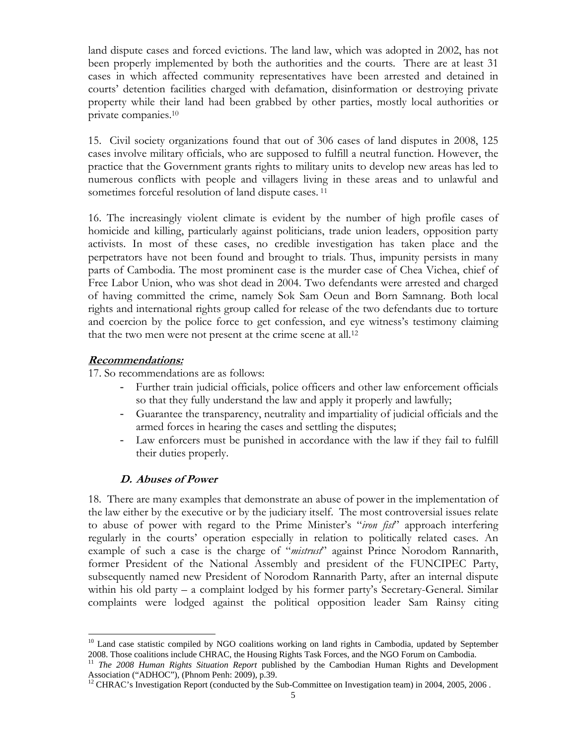land dispute cases and forced evictions. The land law, which was adopted in 2002, has not been properly implemented by both the authorities and the courts. There are at least 31 cases in which affected community representatives have been arrested and detained in courts' detention facilities charged with defamation, disinformation or destroying private property while their land had been grabbed by other parties, mostly local authorities or private companies.10

15. Civil society organizations found that out of 306 cases of land disputes in 2008, 125 cases involve military officials, who are supposed to fulfill a neutral function. However, the practice that the Government grants rights to military units to develop new areas has led to numerous conflicts with people and villagers living in these areas and to unlawful and sometimes forceful resolution of land dispute cases.<sup>11</sup>

16. The increasingly violent climate is evident by the number of high profile cases of homicide and killing, particularly against politicians, trade union leaders, opposition party activists. In most of these cases, no credible investigation has taken place and the perpetrators have not been found and brought to trials. Thus, impunity persists in many parts of Cambodia. The most prominent case is the murder case of Chea Vichea, chief of Free Labor Union, who was shot dead in 2004. Two defendants were arrested and charged of having committed the crime, namely Sok Sam Oeun and Born Samnang. Both local rights and international rights group called for release of the two defendants due to torture and coercion by the police force to get confession, and eye witness's testimony claiming that the two men were not present at the crime scene at all.<sup>12</sup>

#### **Recommendations:**

-

17. So recommendations are as follows:

- Further train judicial officials, police officers and other law enforcement officials so that they fully understand the law and apply it properly and lawfully;
- Guarantee the transparency, neutrality and impartiality of judicial officials and the armed forces in hearing the cases and settling the disputes;
- Law enforcers must be punished in accordance with the law if they fail to fulfill their duties properly.

## **D. Abuses of Power**

18. There are many examples that demonstrate an abuse of power in the implementation of the law either by the executive or by the judiciary itself. The most controversial issues relate to abuse of power with regard to the Prime Minister's "*iron fist*" approach interfering regularly in the courts' operation especially in relation to politically related cases. An example of such a case is the charge of "*mistrust*" against Prince Norodom Rannarith, former President of the National Assembly and president of the FUNCIPEC Party, subsequently named new President of Norodom Rannarith Party, after an internal dispute within his old party – a complaint lodged by his former party's Secretary-General. Similar complaints were lodged against the political opposition leader Sam Rainsy citing

<sup>&</sup>lt;sup>10</sup> Land case statistic compiled by NGO coalitions working on land rights in Cambodia, updated by September 2008. Those coalitions include CHRAC, the Housing Rights Task Forces, and the NGO Forum on Cambodia.

<sup>11</sup> *The 2008 Human Rights Situation Report* published by the Cambodian Human Rights and Development Association ("ADHOC"), (Phnom Penh: 2009), p.39.

<sup>&</sup>lt;sup>12</sup> CHRAC's Investigation Report (conducted by the Sub-Committee on Investigation team) in 2004, 2005, 2006.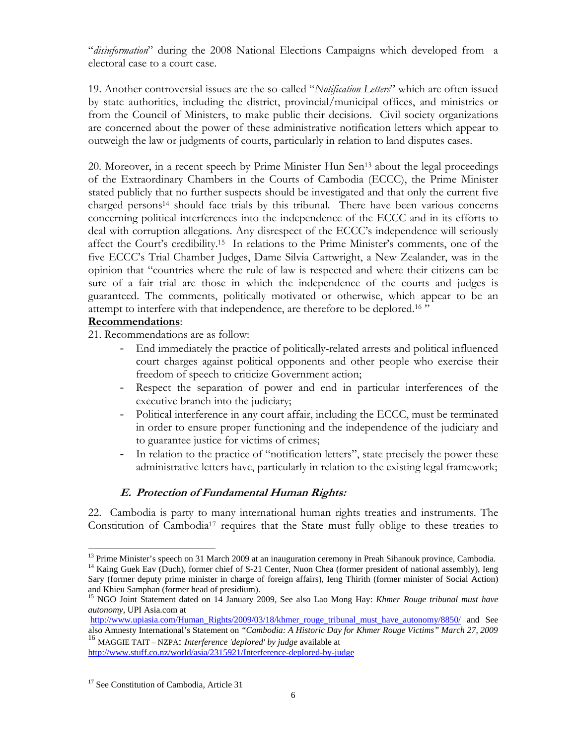"*disinformation*" during the 2008 National Elections Campaigns which developed from a electoral case to a court case.

19. Another controversial issues are the so-called "*Notification Letters*" which are often issued by state authorities, including the district, provincial/municipal offices, and ministries or from the Council of Ministers, to make public their decisions. Civil society organizations are concerned about the power of these administrative notification letters which appear to outweigh the law or judgments of courts, particularly in relation to land disputes cases.

20. Moreover, in a recent speech by Prime Minister Hun Sen<sup>13</sup> about the legal proceedings of the Extraordinary Chambers in the Courts of Cambodia (ECCC), the Prime Minister stated publicly that no further suspects should be investigated and that only the current five charged persons<sup>14</sup> should face trials by this tribunal. There have been various concerns concerning political interferences into the independence of the ECCC and in its efforts to deal with corruption allegations. Any disrespect of the ECCC's independence will seriously affect the Court's credibility.15 In relations to the Prime Minister's comments, one of the five ECCC's Trial Chamber Judges, Dame Silvia Cartwright, a New Zealander, was in the opinion that "countries where the rule of law is respected and where their citizens can be sure of a fair trial are those in which the independence of the courts and judges is guaranteed. The comments, politically motivated or otherwise, which appear to be an attempt to interfere with that independence, are therefore to be deplored.16 "

### **Recommendations**:

-

21. Recommendations are as follow:

- End immediately the practice of politically-related arrests and political influenced court charges against political opponents and other people who exercise their freedom of speech to criticize Government action;
- Respect the separation of power and end in particular interferences of the executive branch into the judiciary;
- Political interference in any court affair, including the ECCC, must be terminated in order to ensure proper functioning and the independence of the judiciary and to guarantee justice for victims of crimes;
- In relation to the practice of "notification letters", state precisely the power these administrative letters have, particularly in relation to the existing legal framework;

## **E. Protection of Fundamental Human Rights:**

22. Cambodia is party to many international human rights treaties and instruments. The Constitution of Cambodia17 requires that the State must fully oblige to these treaties to

and Khieu Samphan (former head of presidium).

<sup>&</sup>lt;sup>13</sup> Prime Minister's speech on 31 March 2009 at an inauguration ceremony in Preah Sihanouk province, Cambodia. <sup>14</sup> Kaing Guek Eav (Duch), former chief of S-21 Center, Nuon Chea (former president of national assembly), Ieng Sary (former deputy prime minister in charge of foreign affairs), Ieng Thirith (former minister of Social Action)

<sup>&</sup>lt;sup>15</sup> NGO Joint Statement dated on 14 January 2009, See also Lao Mong Hay: *Khmer Rouge tribunal must have autonomy,* UPI Asia.com at

http://www.upiasia.com/Human\_Rights/2009/03/18/khmer\_rouge\_tribunal\_must\_have\_autonomy/8850/ and See also Amnesty International's Statement on *"Cambodia: A Historic Day for Khmer Rouge Victims" March 27, 2009*  <sup>16</sup> MAGGIE TAIT – NZPA: *Interference 'deplored' by judge* available at

http://www.stuff.co.nz/world/asia/2315921/Interference-deplored-by-judge

<sup>&</sup>lt;sup>17</sup> See Constitution of Cambodia, Article 31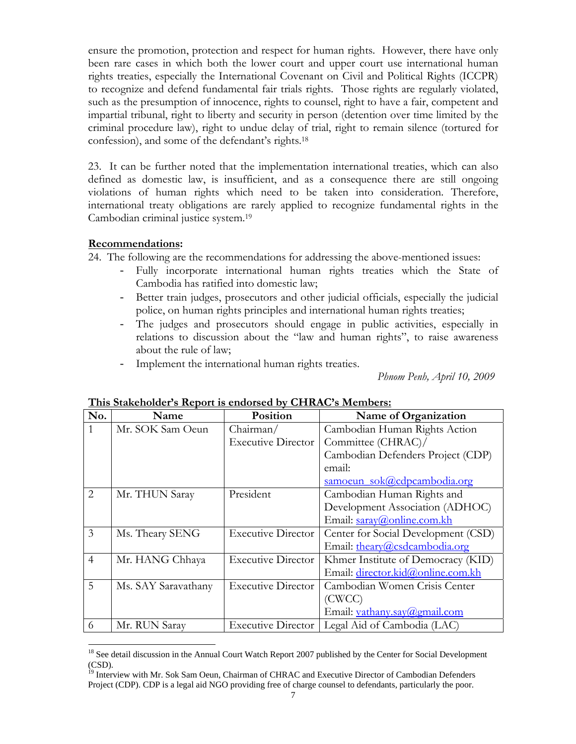ensure the promotion, protection and respect for human rights. However, there have only been rare cases in which both the lower court and upper court use international human rights treaties, especially the International Covenant on Civil and Political Rights (ICCPR) to recognize and defend fundamental fair trials rights. Those rights are regularly violated, such as the presumption of innocence, rights to counsel, right to have a fair, competent and impartial tribunal, right to liberty and security in person (detention over time limited by the criminal procedure law), right to undue delay of trial, right to remain silence (tortured for confession), and some of the defendant's rights.18

23. It can be further noted that the implementation international treaties, which can also defined as domestic law, is insufficient, and as a consequence there are still ongoing violations of human rights which need to be taken into consideration. Therefore, international treaty obligations are rarely applied to recognize fundamental rights in the Cambodian criminal justice system.19

### **Recommendations:**

-

24. The following are the recommendations for addressing the above-mentioned issues:

- Fully incorporate international human rights treaties which the State of Cambodia has ratified into domestic law;
- Better train judges, prosecutors and other judicial officials, especially the judicial police, on human rights principles and international human rights treaties;
- The judges and prosecutors should engage in public activities, especially in relations to discussion about the "law and human rights", to raise awareness about the rule of law;
- Implement the international human rights treaties.

 *Phnom Penh, April 10, 2009* 

| No.            | Name                | Position                  | Name of Organization                |
|----------------|---------------------|---------------------------|-------------------------------------|
|                | Mr. SOK Sam Oeun    | Chairman/                 | Cambodian Human Rights Action       |
|                |                     | <b>Executive Director</b> | Committee (CHRAC)/                  |
|                |                     |                           | Cambodian Defenders Project (CDP)   |
|                |                     |                           | email:                              |
|                |                     |                           | samoeun sok@cdpcambodia.org         |
| $\overline{2}$ | Mr. THUN Saray      | President                 | Cambodian Human Rights and          |
|                |                     |                           | Development Association (ADHOC)     |
|                |                     |                           | Email: saray@online.com.kh          |
| 3              | Ms. Theary SENG     | <b>Executive Director</b> | Center for Social Development (CSD) |
|                |                     |                           | Email: theary@csdcambodia.org       |
| $\overline{4}$ | Mr. HANG Chhaya     | <b>Executive Director</b> | Khmer Institute of Democracy (KID)  |
|                |                     |                           | Email: director.kid@online.com.kh   |
| 5              | Ms. SAY Saravathany | <b>Executive Director</b> | Cambodian Women Crisis Center       |
|                |                     |                           | (CWCC)                              |
|                |                     |                           | Email: vathany.say@gmail.com        |
| 6              | Mr. RUN Saray       | <b>Executive Director</b> | Legal Aid of Cambodia (LAC)         |

#### **This Stakeholder's Report is endorsed by CHRAC's Members:**

<sup>&</sup>lt;sup>18</sup> See detail discussion in the Annual Court Watch Report 2007 published by the Center for Social Development  $\overline{\text{ (CSD)}}$ .<br> $\overline{\text{ (9 -)}}$ 

Interview with Mr. Sok Sam Oeun, Chairman of CHRAC and Executive Director of Cambodian Defenders Project (CDP). CDP is a legal aid NGO providing free of charge counsel to defendants, particularly the poor.